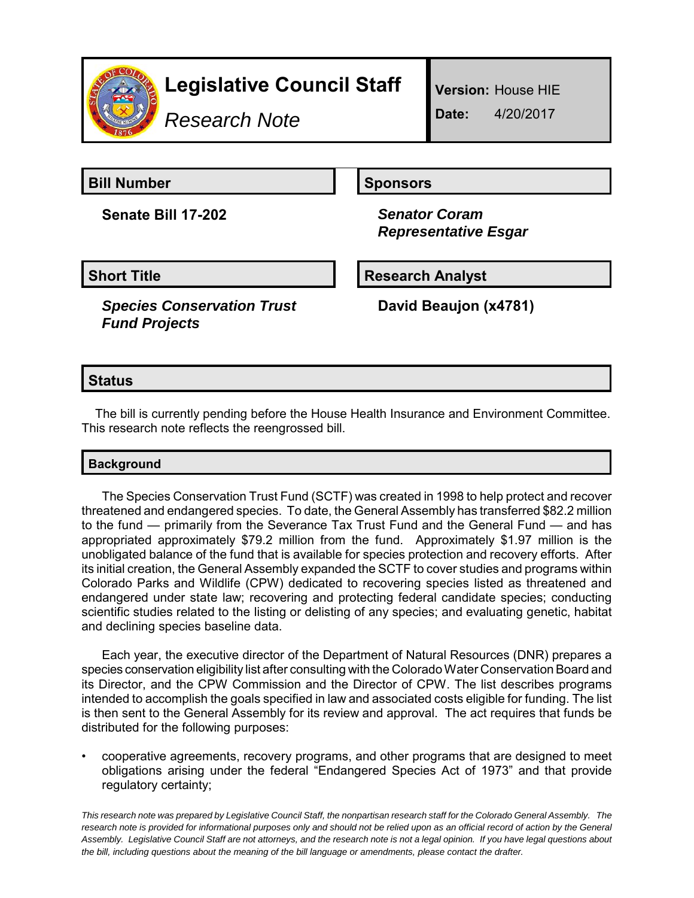

*Research Note*

**Version:** House HIE

**Date:** 4/20/2017

**Bill Number Sponsors** 

**Senate Bill 17-202** *Senator Coram*

 *Representative Esgar*

**Short Title Research Analyst** 

*Species Conservation Trust Fund Projects*

**David Beaujon (x4781)**

## **Status**

The bill is currently pending before the House Health Insurance and Environment Committee. This research note reflects the reengrossed bill.

## **Background**

The Species Conservation Trust Fund (SCTF) was created in 1998 to help protect and recover threatened and endangered species. To date, the General Assembly has transferred \$82.2 million to the fund — primarily from the Severance Tax Trust Fund and the General Fund — and has appropriated approximately \$79.2 million from the fund. Approximately \$1.97 million is the unobligated balance of the fund that is available for species protection and recovery efforts. After its initial creation, the General Assembly expanded the SCTF to cover studies and programs within Colorado Parks and Wildlife (CPW) dedicated to recovering species listed as threatened and endangered under state law; recovering and protecting federal candidate species; conducting scientific studies related to the listing or delisting of any species; and evaluating genetic, habitat and declining species baseline data.

Each year, the executive director of the Department of Natural Resources (DNR) prepares a species conservation eligibility list after consulting with the Colorado Water Conservation Board and its Director, and the CPW Commission and the Director of CPW. The list describes programs intended to accomplish the goals specified in law and associated costs eligible for funding. The list is then sent to the General Assembly for its review and approval. The act requires that funds be distributed for the following purposes:

• cooperative agreements, recovery programs, and other programs that are designed to meet obligations arising under the federal "Endangered Species Act of 1973" and that provide regulatory certainty;

*This research note was prepared by Legislative Council Staff, the nonpartisan research staff for the Colorado General Assembly. The research note is provided for informational purposes only and should not be relied upon as an official record of action by the General Assembly. Legislative Council Staff are not attorneys, and the research note is not a legal opinion. If you have legal questions about the bill, including questions about the meaning of the bill language or amendments, please contact the drafter.*